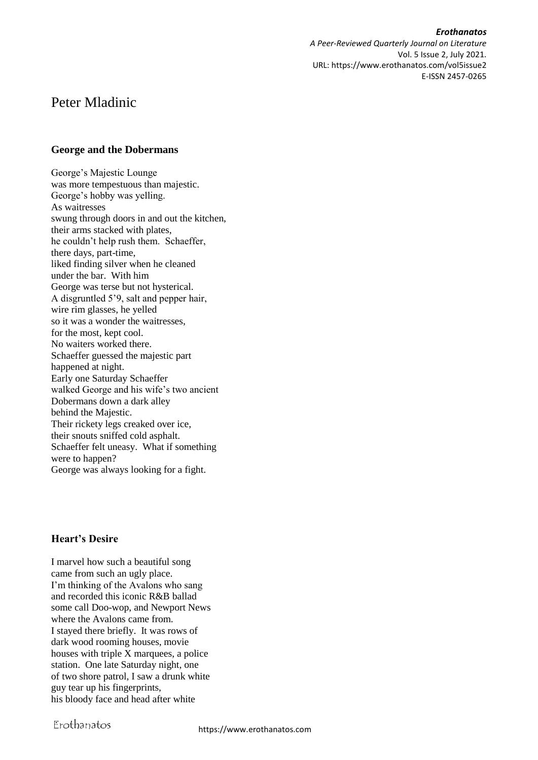*Erothanatos A Peer-Reviewed Quarterly Journal on Literature* Vol. 5 Issue 2, July 2021. URL: https://www.erothanatos.com/vol5issue2 E-ISSN 2457-0265

# Peter Mladinic

#### **George and the Dobermans**

George's Majestic Lounge was more tempestuous than majestic. George's hobby was yelling. As waitresses swung through doors in and out the kitchen, their arms stacked with plates, he couldn't help rush them. Schaeffer, there days, part-time, liked finding silver when he cleaned under the bar. With him George was terse but not hysterical. A disgruntled 5'9, salt and pepper hair, wire rim glasses, he yelled so it was a wonder the waitresses, for the most, kept cool. No waiters worked there. Schaeffer guessed the majestic part happened at night. Early one Saturday Schaeffer walked George and his wife's two ancient Dobermans down a dark alley behind the Majestic. Their rickety legs creaked over ice, their snouts sniffed cold asphalt. Schaeffer felt uneasy. What if something were to happen? George was always looking for a fight.

### **Heart's Desire**

I marvel how such a beautiful song came from such an ugly place. I'm thinking of the Avalons who sang and recorded this iconic R&B ballad some call Doo-wop, and Newport News where the Avalons came from. I stayed there briefly. It was rows of dark wood rooming houses, movie houses with triple X marquees, a police station. One late Saturday night, one of two shore patrol, I saw a drunk white guy tear up his fingerprints, his bloody face and head after white

Erothanatos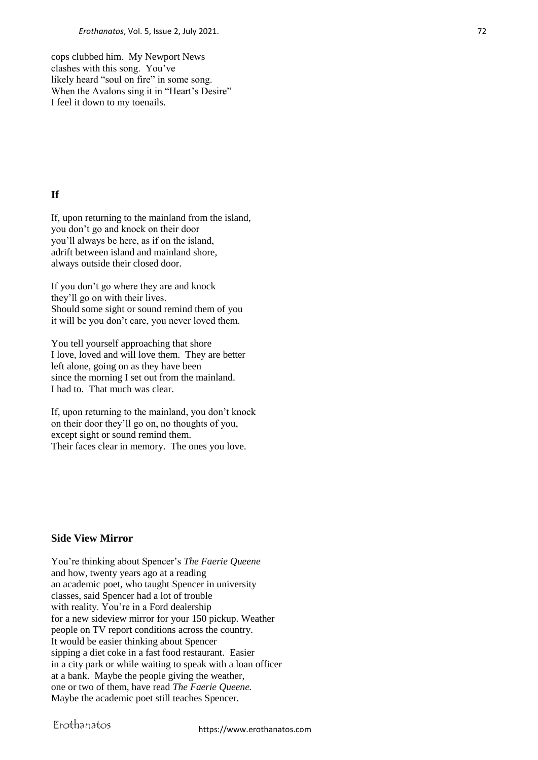cops clubbed him. My Newport News clashes with this song. You've likely heard "soul on fire" in some song. When the Avalons sing it in "Heart's Desire" I feel it down to my toenails.

# **If**

If, upon returning to the mainland from the island, you don't go and knock on their door you'll always be here, as if on the island, adrift between island and mainland shore, always outside their closed door.

If you don't go where they are and knock they'll go on with their lives. Should some sight or sound remind them of you it will be you don't care, you never loved them.

You tell yourself approaching that shore I love, loved and will love them. They are better left alone, going on as they have been since the morning I set out from the mainland. I had to. That much was clear.

If, upon returning to the mainland, you don't knock on their door they'll go on, no thoughts of you, except sight or sound remind them. Their faces clear in memory. The ones you love.

# **Side View Mirror**

You're thinking about Spencer's *The Faerie Queene* and how, twenty years ago at a reading an academic poet, who taught Spencer in university classes, said Spencer had a lot of trouble with reality. You're in a Ford dealership for a new sideview mirror for your 150 pickup. Weather people on TV report conditions across the country. It would be easier thinking about Spencer sipping a diet coke in a fast food restaurant. Easier in a city park or while waiting to speak with a loan officer at a bank. Maybe the people giving the weather, one or two of them, have read *The Faerie Queene.* Maybe the academic poet still teaches Spencer.

Erothanatos